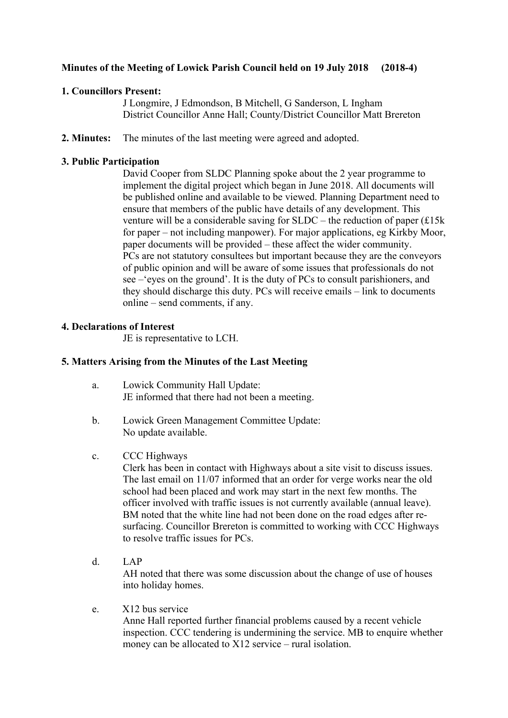# **Minutes of the Meeting of Lowick Parish Council held on 19 July 2018 (2018-4)**

# **1. Councillors Present:**

J Longmire, J Edmondson, B Mitchell, G Sanderson, L Ingham District Councillor Anne Hall; County/District Councillor Matt Brereton

**2. Minutes:** The minutes of the last meeting were agreed and adopted.

# **3. Public Participation**

David Cooper from SLDC Planning spoke about the 2 year programme to implement the digital project which began in June 2018. All documents will be published online and available to be viewed. Planning Department need to ensure that members of the public have details of any development. This venture will be a considerable saving for SLDC – the reduction of paper (£15k for paper – not including manpower). For major applications, eg Kirkby Moor, paper documents will be provided – these affect the wider community. PCs are not statutory consultees but important because they are the conveyors of public opinion and will be aware of some issues that professionals do not see –'eyes on the ground'. It is the duty of PCs to consult parishioners, and they should discharge this duty. PCs will receive emails – link to documents online – send comments, if any.

## **4. Declarations of Interest**

JE is representative to LCH.

# **5. Matters Arising from the Minutes of the Last Meeting**

- a. Lowick Community Hall Update: JE informed that there had not been a meeting.
- b. Lowick Green Management Committee Update: No update available.
- c. CCC Highways

Clerk has been in contact with Highways about a site visit to discuss issues. The last email on 11/07 informed that an order for verge works near the old school had been placed and work may start in the next few months. The officer involved with traffic issues is not currently available (annual leave). BM noted that the white line had not been done on the road edges after resurfacing. Councillor Brereton is committed to working with CCC Highways to resolve traffic issues for PCs.

d. LAP

 AH noted that there was some discussion about the change of use of houses into holiday homes.

e. X12 bus service

Anne Hall reported further financial problems caused by a recent vehicle inspection. CCC tendering is undermining the service. MB to enquire whether money can be allocated to X12 service – rural isolation.